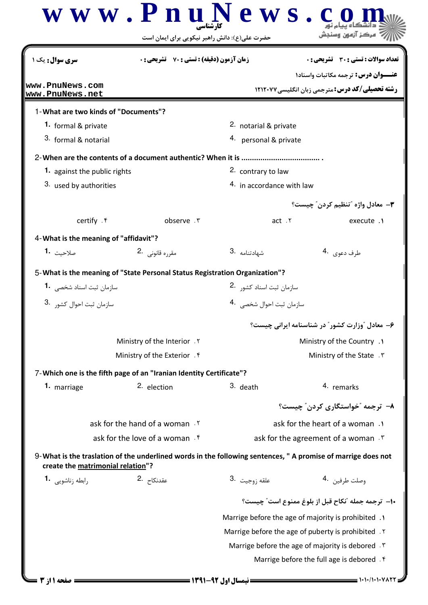| <b>سری سوال :</b> یک ۱                 | <b>زمان آزمون (دقیقه) : تستی : 70 ٪ تشریحی : 0</b>                                                           |                                                                                                      | <b>تعداد سوالات : تستی : 30 ٪ تشریحی : 0</b>                                                   |  |
|----------------------------------------|--------------------------------------------------------------------------------------------------------------|------------------------------------------------------------------------------------------------------|------------------------------------------------------------------------------------------------|--|
| www.PnuNews.com<br>www.PnuNews.net     |                                                                                                              | <b>عنـــوان درس:</b> ترجمه مکاتبات واسناد۱<br><b>رشته تحصیلی/کد درس: مترجمی زبان انگلیسی ۱۲۱۲۰۷۷</b> |                                                                                                |  |
| 1- What are two kinds of "Documents"?  |                                                                                                              |                                                                                                      |                                                                                                |  |
| 1. formal & private                    |                                                                                                              | 2. notarial & private                                                                                |                                                                                                |  |
| 3. formal & notarial                   |                                                                                                              | 4. personal & private                                                                                |                                                                                                |  |
|                                        |                                                                                                              |                                                                                                      |                                                                                                |  |
| <b>1.</b> against the public rights    |                                                                                                              | 2. contrary to law                                                                                   |                                                                                                |  |
| 3. used by authorities                 |                                                                                                              | 4. in accordance with law                                                                            |                                                                                                |  |
|                                        |                                                                                                              |                                                                                                      | <b>٣</b> ــ معادل واژه ″تنظيم کردن″ چيست؟                                                      |  |
| certify . ۴                            | observe . ٣                                                                                                  | act.7                                                                                                | execute .1                                                                                     |  |
| 4- What is the meaning of "affidavit"? |                                                                                                              |                                                                                                      |                                                                                                |  |
| صلاحىت 1.                              | مقررہ قانونے . 2                                                                                             | شهادتنامه .3                                                                                         | طرف دعوى 4.                                                                                    |  |
|                                        |                                                                                                              |                                                                                                      |                                                                                                |  |
|                                        | 5-What is the meaning of "State Personal Status Registration Organization"?                                  |                                                                                                      |                                                                                                |  |
| سازمان ثبت اسناد شخصی 1.               |                                                                                                              | سازمان ثبت اسناد كشو,   .2                                                                           |                                                                                                |  |
| سازمان ثبت احوال كشو, ۔3               |                                                                                                              | سازمان ثبت احوال شخصی 4۰                                                                             |                                                                                                |  |
|                                        |                                                                                                              |                                                                                                      | ۶- معادل "وزارت کشور" در شناسنامه ایرانی چیست؟                                                 |  |
|                                        | Ministry of the Interior . Y                                                                                 | Ministry of the Country .1                                                                           |                                                                                                |  |
|                                        | Ministry of the Exterior . f                                                                                 | Ministry of the State . ٣                                                                            |                                                                                                |  |
|                                        | 7-Which one is the fifth page of an "Iranian Identity Certificate"?                                          |                                                                                                      |                                                                                                |  |
| 1. marriage                            | 2. election                                                                                                  | 3. death                                                                                             | 4. remarks                                                                                     |  |
|                                        |                                                                                                              |                                                                                                      | ۸–  ترجمه "خواستگاری کردن" چیست؟                                                               |  |
|                                        | ask for the hand of a woman.                                                                                 |                                                                                                      | ask for the heart of a woman .                                                                 |  |
| ask for the love of a woman . f        |                                                                                                              |                                                                                                      | ask for the agreement of a woman. T                                                            |  |
| create the matrimonial relation"?      | 9-What is the traslation of the underlined words in the following sentences, " A promise of marrige does not |                                                                                                      |                                                                                                |  |
| رابطه زناشويي 1.                       | عقدنكاح .2                                                                                                   | علقه زوجيت .3                                                                                        | وصلت طرفين 4.                                                                                  |  |
|                                        |                                                                                                              |                                                                                                      |                                                                                                |  |
|                                        |                                                                                                              | ١٠- ترجمه جمله 'نكاح قبل از بلوغ ممنوع است' چيست؟                                                    |                                                                                                |  |
|                                        |                                                                                                              | Marrige before the age of majority is prohibited .1                                                  |                                                                                                |  |
|                                        |                                                                                                              | Marrige before the age of puberty is prohibited . Y                                                  |                                                                                                |  |
|                                        |                                                                                                              |                                                                                                      | Marrige before the age of majority is debored . \varrige before the age of majority is debored |  |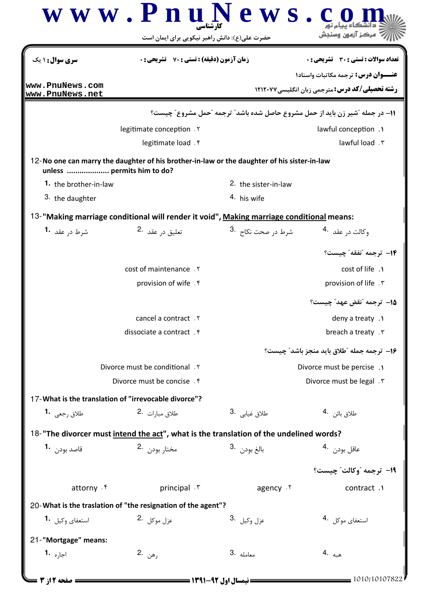|                                                                                                                           | WW.Fni<br>کارشناسے<br>حضرت علی(ع): دانش راهبر نیکویی برای ایمان است | <b>CWS</b>                    | مرکز آزمون وسنحش                                                             |
|---------------------------------------------------------------------------------------------------------------------------|---------------------------------------------------------------------|-------------------------------|------------------------------------------------------------------------------|
| سری سوال: ۱ یک                                                                                                            | <b>زمان آزمون (دقیقه) : تستی : 70 ٪ تشریحی: 0</b>                   |                               | تعداد سوالات : تستي : 30 ٪ تشريحي : 0                                        |
|                                                                                                                           |                                                                     |                               | <b>عنـــوان درس:</b> ترجمه مکاتبات واسناد۱                                   |
| www.PnuNews.com<br>www.PnuNews.net                                                                                        |                                                                     |                               | <b>رشته تحصیلی/کد درس: مترجمی زبان انگلیسی ۱۲۱۲۰۷۷</b>                       |
|                                                                                                                           |                                                                     |                               | 11- در جمله "شیر زن باید از حمل مشروع حاصل شده باشد" ترجمه "حمل مشروع" چیست؟ |
|                                                                                                                           | legitimate conception. Y                                            |                               | lawful conception .                                                          |
|                                                                                                                           | legitimate load . f                                                 |                               | lawful load . ٣                                                              |
| 12-No one can marry the daughter of his brother-in-law or the daughter of his sister-in-law<br>unless  permits him to do? |                                                                     |                               |                                                                              |
| 1. the brother-in-law                                                                                                     |                                                                     | 2. the sister-in-law          |                                                                              |
| 3. the daughter                                                                                                           |                                                                     | 4. his wife                   |                                                                              |
| 13-"Making marriage conditional will render it void", Making marriage conditional means:                                  |                                                                     |                               |                                                                              |
| شرط د <sub>ر</sub> عقد <b>1</b> ۰                                                                                         | تعليق در عقد 2.                                                     | شرط در صحت نکاح۔ <sup>3</sup> | وكالت د <sub>ر</sub> عقد <sup>4</sup> ۰                                      |
|                                                                                                                           |                                                                     |                               | 14- ترجمه "نفقه" چیست؟                                                       |
|                                                                                                                           | cost of maintenance . Y                                             |                               | cost of life .1                                                              |
|                                                                                                                           | provision of wife . $f$                                             |                               | provision of life . \v.                                                      |
|                                                                                                                           |                                                                     |                               | 1۵– ترجمه "نقض عهد" چیست؟                                                    |
|                                                                                                                           | cancel a contract . Y                                               |                               | deny a treaty .                                                              |
|                                                                                                                           | dissociate a contract . f                                           |                               | breach a treaty . ٣                                                          |
|                                                                                                                           |                                                                     |                               | ۱۶- ترجمه جمله "طلاق بايد منجز باشد" چيست؟                                   |
|                                                                                                                           | Divorce must be conditional . Y                                     |                               | Divorce must be percise.                                                     |
|                                                                                                                           | Divorce must be concise.                                            |                               | Divorce must be legal . \v                                                   |
| 17-What is the translation of "irrevocable divorce"?                                                                      |                                                                     |                               |                                                                              |
| طلاق <sub>(</sub> جعى <b>1</b> ۰                                                                                          | طلاق مبارات .2                                                      | طلاق غيابي .3                 | طلاق بائن 4.                                                                 |
| 18-"The divorcer must intend the act", what is the translation of the undelined words?                                    |                                                                     |                               |                                                                              |
| قاصد بود <sub>ن</sub> <b>1.</b>                                                                                           | مختار بودن 2.                                                       | بالغ بودن .3                  | عاقل بودن 4.                                                                 |
|                                                                                                                           |                                                                     |                               | 19- ترجمه "وكالت" چيست؟                                                      |
| attorny . f                                                                                                               | principal . ٣                                                       | agency . ٢                    | contract.                                                                    |
| 20-What is the traslation of "the resignation of the agent"?                                                              |                                                                     |                               |                                                                              |
| استعفای وکیل <b>1</b> ۰                                                                                                   | عزل موكل 2.                                                         | 3. وكيل <b>3</b>              | استعفاي موكل 4.                                                              |
| 21-"Mortgage" means:                                                                                                      |                                                                     |                               |                                                                              |
| اجا <sub>د</sub> ه <b>-1</b>                                                                                              | رھن .2                                                              | 3. atols                      | هيه .4                                                                       |
| صفحه 12: 3                                                                                                                | <b>= نیمسال اول 92-1391 <del>======</del></b>                       |                               | 1010/10107822                                                                |